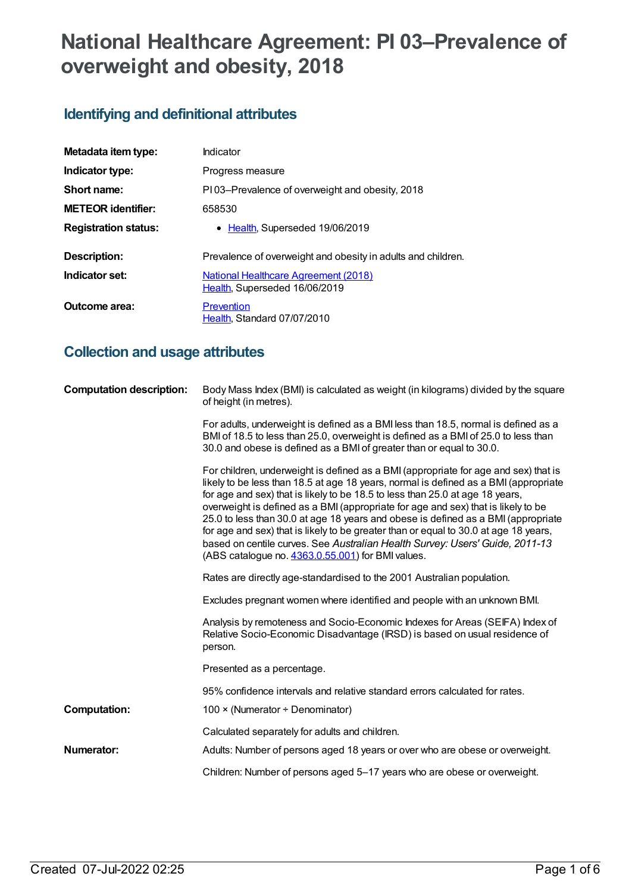# **National Healthcare Agreement: PI 03–Prevalence of overweight and obesity, 2018**

## **Identifying and definitional attributes**

| Metadata item type:         | Indicator                                                                    |  |
|-----------------------------|------------------------------------------------------------------------------|--|
| Indicator type:             | Progress measure                                                             |  |
| Short name:                 | PI03–Prevalence of overweight and obesity, 2018                              |  |
| <b>METEOR identifier:</b>   | 658530                                                                       |  |
| <b>Registration status:</b> | • Health, Superseded 19/06/2019                                              |  |
| Description:                | Prevalence of overweight and obesity in adults and children.                 |  |
| Indicator set:              | <b>National Healthcare Agreement (2018)</b><br>Health, Superseded 16/06/2019 |  |
| Outcome area:               | Prevention<br>Health, Standard 07/07/2010                                    |  |

## **Collection and usage attributes**

| <b>Computation description:</b> | Body Mass Index (BMI) is calculated as weight (in kilograms) divided by the square<br>of height (in metres).                                                                                                                                                                                                                                                                                                                                                                                                                                                                                                                                                        |
|---------------------------------|---------------------------------------------------------------------------------------------------------------------------------------------------------------------------------------------------------------------------------------------------------------------------------------------------------------------------------------------------------------------------------------------------------------------------------------------------------------------------------------------------------------------------------------------------------------------------------------------------------------------------------------------------------------------|
|                                 | For adults, underweight is defined as a BMI less than 18.5, normal is defined as a<br>BMI of 18.5 to less than 25.0, overweight is defined as a BMI of 25.0 to less than<br>30.0 and obese is defined as a BMI of greater than or equal to 30.0.                                                                                                                                                                                                                                                                                                                                                                                                                    |
|                                 | For children, underweight is defined as a BMI (appropriate for age and sex) that is<br>likely to be less than 18.5 at age 18 years, normal is defined as a BMI (appropriate<br>for age and sex) that is likely to be 18.5 to less than 25.0 at age 18 years,<br>overweight is defined as a BMI (appropriate for age and sex) that is likely to be<br>25.0 to less than 30.0 at age 18 years and obese is defined as a BMI (appropriate<br>for age and sex) that is likely to be greater than or equal to 30.0 at age 18 years,<br>based on centile curves. See Australian Health Survey: Users' Guide, 2011-13<br>(ABS catalogue no. 4363.0.55.001) for BMI values. |
|                                 | Rates are directly age-standardised to the 2001 Australian population.                                                                                                                                                                                                                                                                                                                                                                                                                                                                                                                                                                                              |
|                                 | Excludes pregnant women where identified and people with an unknown BMI.                                                                                                                                                                                                                                                                                                                                                                                                                                                                                                                                                                                            |
|                                 | Analysis by remoteness and Socio-Economic Indexes for Areas (SEIFA) Index of<br>Relative Socio-Economic Disadvantage (IRSD) is based on usual residence of<br>person.                                                                                                                                                                                                                                                                                                                                                                                                                                                                                               |
|                                 | Presented as a percentage.                                                                                                                                                                                                                                                                                                                                                                                                                                                                                                                                                                                                                                          |
|                                 | 95% confidence intervals and relative standard errors calculated for rates.                                                                                                                                                                                                                                                                                                                                                                                                                                                                                                                                                                                         |
| <b>Computation:</b>             | 100 × (Numerator ÷ Denominator)                                                                                                                                                                                                                                                                                                                                                                                                                                                                                                                                                                                                                                     |
|                                 | Calculated separately for adults and children.                                                                                                                                                                                                                                                                                                                                                                                                                                                                                                                                                                                                                      |
| Numerator:                      | Adults: Number of persons aged 18 years or over who are obese or overweight.                                                                                                                                                                                                                                                                                                                                                                                                                                                                                                                                                                                        |
|                                 | Children: Number of persons aged 5-17 years who are obese or overweight.                                                                                                                                                                                                                                                                                                                                                                                                                                                                                                                                                                                            |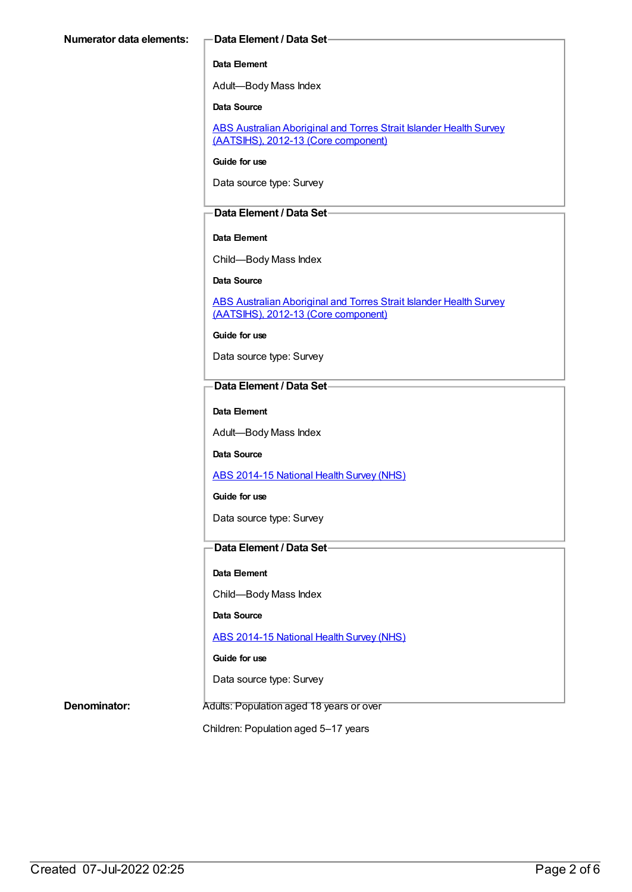#### **Data Element**

Adult—Body Mass Index

**Data Source**

ABS Australian Aboriginal and Torres Strait Islander Health Survey (AATSIHS), 2012-13 (Core [component\)](https://meteor.aihw.gov.au/content/585485)

**Guide for use**

Data source type: Survey

#### **Data Element / Data Set**

#### **Data Element**

Child—Body Mass Index

**Data Source**

ABS Australian Aboriginal and Torres Strait Islander Health Survey (AATSIHS), 2012-13 (Core [component\)](https://meteor.aihw.gov.au/content/585485)

**Guide for use**

Data source type: Survey

#### **Data Element / Data Set**

**Data Element**

Adult—Body Mass Index

**Data Source**

ABS [2014-15](https://meteor.aihw.gov.au/content/644695) National Health Survey (NHS)

**Guide for use**

Data source type: Survey

#### **Data Element / Data Set**

**Data Element**

Child—Body Mass Index

**Data Source**

ABS [2014-15](https://meteor.aihw.gov.au/content/644695) National Health Survey (NHS)

**Guide for use**

Data source type: Survey

**Denominator:** Adults: Population aged 18 years or over

Children: Population aged 5–17 years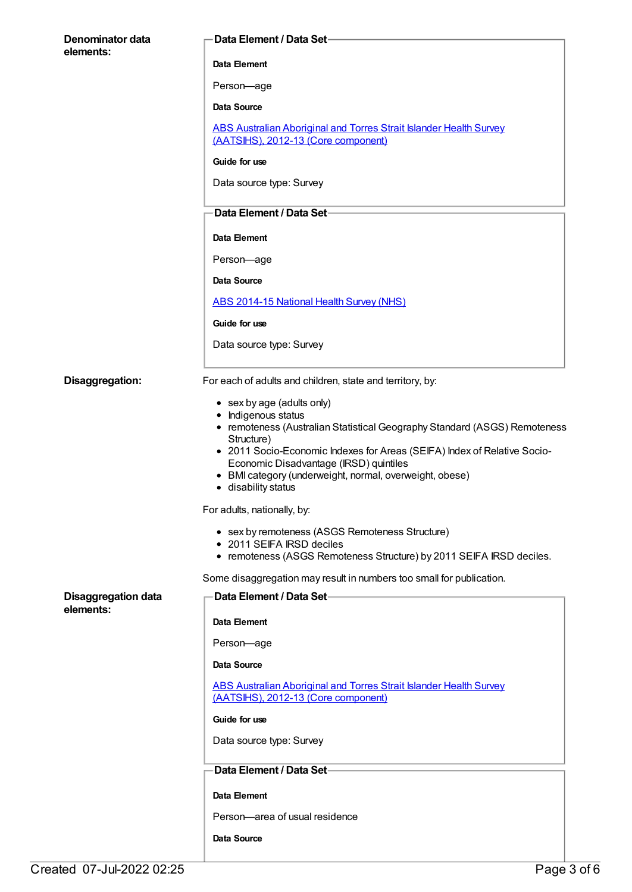| Denominator data                        | <b>Data Element / Data Set-</b>                                                                                                                                                                                                                                                                                                                                                                                                                                                                                                                                                                                     |
|-----------------------------------------|---------------------------------------------------------------------------------------------------------------------------------------------------------------------------------------------------------------------------------------------------------------------------------------------------------------------------------------------------------------------------------------------------------------------------------------------------------------------------------------------------------------------------------------------------------------------------------------------------------------------|
| elements:                               | Data Element                                                                                                                                                                                                                                                                                                                                                                                                                                                                                                                                                                                                        |
|                                         | Person-age                                                                                                                                                                                                                                                                                                                                                                                                                                                                                                                                                                                                          |
|                                         | Data Source                                                                                                                                                                                                                                                                                                                                                                                                                                                                                                                                                                                                         |
|                                         | <b>ABS Australian Aboriginal and Torres Strait Islander Health Survey</b><br>(AATSIHS), 2012-13 (Core component)                                                                                                                                                                                                                                                                                                                                                                                                                                                                                                    |
|                                         | Guide for use                                                                                                                                                                                                                                                                                                                                                                                                                                                                                                                                                                                                       |
|                                         | Data source type: Survey                                                                                                                                                                                                                                                                                                                                                                                                                                                                                                                                                                                            |
|                                         | Data Element / Data Set-                                                                                                                                                                                                                                                                                                                                                                                                                                                                                                                                                                                            |
|                                         | Data Element                                                                                                                                                                                                                                                                                                                                                                                                                                                                                                                                                                                                        |
|                                         | Person-age                                                                                                                                                                                                                                                                                                                                                                                                                                                                                                                                                                                                          |
|                                         | Data Source                                                                                                                                                                                                                                                                                                                                                                                                                                                                                                                                                                                                         |
|                                         | <b>ABS 2014-15 National Health Survey (NHS)</b>                                                                                                                                                                                                                                                                                                                                                                                                                                                                                                                                                                     |
|                                         | Guide for use                                                                                                                                                                                                                                                                                                                                                                                                                                                                                                                                                                                                       |
|                                         | Data source type: Survey                                                                                                                                                                                                                                                                                                                                                                                                                                                                                                                                                                                            |
| Disaggregation:                         | For each of adults and children, state and territory, by:                                                                                                                                                                                                                                                                                                                                                                                                                                                                                                                                                           |
|                                         | • sex by age (adults only)<br>• Indigenous status<br>• remoteness (Australian Statistical Geography Standard (ASGS) Remoteness<br>Structure)<br>• 2011 Socio-Economic Indexes for Areas (SEIFA) Index of Relative Socio-<br>Economic Disadvantage (IRSD) quintiles<br>• BMI category (underweight, normal, overweight, obese)<br>· disability status<br>For adults, nationally, by:<br>• sex by remoteness (ASGS Remoteness Structure)<br>• 2011 SEIFA IRSD deciles<br>• remoteness (ASGS Remoteness Structure) by 2011 SEIFA IRSD deciles.<br>Some disaggregation may result in numbers too small for publication. |
| <b>Disaggregation data</b><br>elements: | Data Element / Data Set-                                                                                                                                                                                                                                                                                                                                                                                                                                                                                                                                                                                            |
|                                         | Data Element                                                                                                                                                                                                                                                                                                                                                                                                                                                                                                                                                                                                        |
|                                         | Person-age                                                                                                                                                                                                                                                                                                                                                                                                                                                                                                                                                                                                          |
|                                         | Data Source                                                                                                                                                                                                                                                                                                                                                                                                                                                                                                                                                                                                         |
|                                         | <b>ABS Australian Aboriginal and Torres Strait Islander Health Survey</b><br>(AATSIHS), 2012-13 (Core component)                                                                                                                                                                                                                                                                                                                                                                                                                                                                                                    |
|                                         | Guide for use                                                                                                                                                                                                                                                                                                                                                                                                                                                                                                                                                                                                       |
|                                         | Data source type: Survey                                                                                                                                                                                                                                                                                                                                                                                                                                                                                                                                                                                            |
|                                         | Data Element / Data Set-                                                                                                                                                                                                                                                                                                                                                                                                                                                                                                                                                                                            |
|                                         | Data Element                                                                                                                                                                                                                                                                                                                                                                                                                                                                                                                                                                                                        |
|                                         | Person-area of usual residence                                                                                                                                                                                                                                                                                                                                                                                                                                                                                                                                                                                      |
|                                         | Data Source                                                                                                                                                                                                                                                                                                                                                                                                                                                                                                                                                                                                         |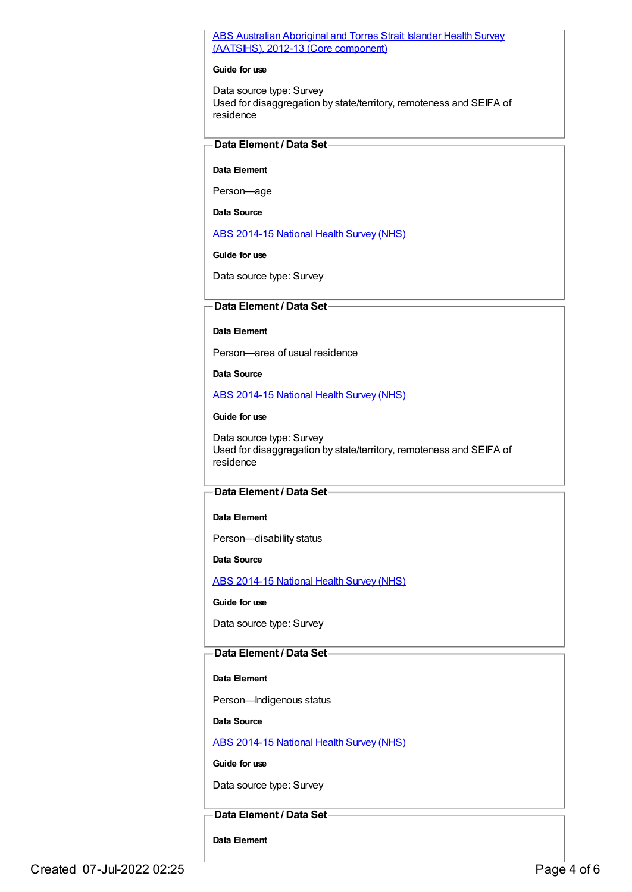#### ABS Australian Aboriginal and Torres Strait Islander Health Survey (AATSIHS), 2012-13 (Core [component\)](https://meteor.aihw.gov.au/content/585485)

#### **Guide for use**

Data source type: Survey Used for disaggregation by state/territory, remoteness and SEIFA of residence

#### **Data Element / Data Set**

#### **Data Element**

Person—age

**Data Source**

ABS [2014-15](https://meteor.aihw.gov.au/content/644695) National Health Survey (NHS)

**Guide for use**

Data source type: Survey

#### **Data Element / Data Set**

#### **Data Element**

Person—area of usual residence

**Data Source**

ABS [2014-15](https://meteor.aihw.gov.au/content/644695) National Health Survey (NHS)

#### **Guide for use**

Data source type: Survey Used for disaggregation by state/territory, remoteness and SEIFA of residence

#### **Data Element / Data Set**

#### **Data Element**

Person—disability status

**Data Source**

ABS [2014-15](https://meteor.aihw.gov.au/content/644695) National Health Survey (NHS)

**Guide for use**

Data source type: Survey

### **Data Element / Data Set**

#### **Data Element**

Person—Indigenous status

**Data Source**

ABS [2014-15](https://meteor.aihw.gov.au/content/644695) National Health Survey (NHS)

**Guide for use**

Data source type: Survey

### **Data Element / Data Set**

**Data Element**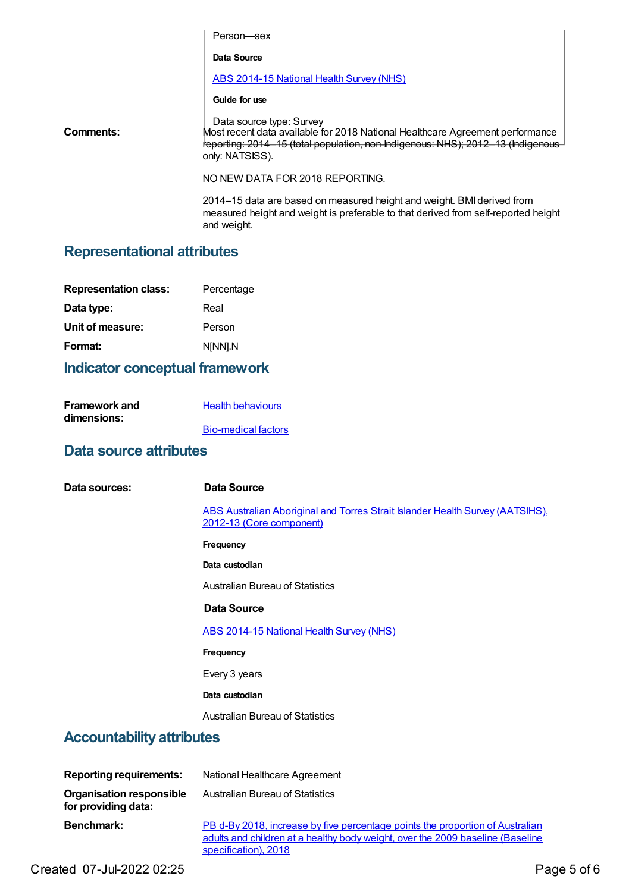|                                    | Person-sex                                                                                                                                                                                                      |  |
|------------------------------------|-----------------------------------------------------------------------------------------------------------------------------------------------------------------------------------------------------------------|--|
|                                    | Data Source                                                                                                                                                                                                     |  |
|                                    | <b>ABS 2014-15 National Health Survey (NHS)</b>                                                                                                                                                                 |  |
|                                    | Guide for use                                                                                                                                                                                                   |  |
| Comments:                          | Data source type: Survey<br>Most recent data available for 2018 National Healthcare Agreement performance<br>reporting: 2014–15 (total population, non-Indigenous: NHS); 2012–13 (Indigenous<br>only: NATSISS). |  |
|                                    | NO NEW DATA FOR 2018 REPORTING.                                                                                                                                                                                 |  |
|                                    | 2014–15 data are based on measured height and weight. BMI derived from<br>measured height and weight is preferable to that derived from self-reported height<br>and weight.                                     |  |
| <b>Representational attributes</b> |                                                                                                                                                                                                                 |  |

## **Indicator conceptual framework**

| Framework and | <b>Health behaviours</b>   |
|---------------|----------------------------|
| dimensions:   |                            |
|               | <b>Bio-medical factors</b> |

## **Data source attributes**

**Data sources: Data Source** ABS Australian Aboriginal and Torres Strait Islander Health Survey [\(AATSIHS\),](https://meteor.aihw.gov.au/content/585485) 2012-13 (Core component) **Frequency Data custodian** Australian Bureau of Statistics **Data Source** ABS [2014-15](https://meteor.aihw.gov.au/content/644695) National Health Survey (NHS) **Frequency** Every 3 years **Data custodian** Australian Bureau of Statistics **Accountability attributes Reporting requirements:** National Healthcare Agreement **Organisation responsible** Australian Bureau of Statistics

**for providing data: Benchmark:** PB d-By 2018, increase by five [percentage](file:///content/658542) points the proportion of Australian adults and children at a healthy body weight, over the 2009 baseline (Baseline specification), 2018